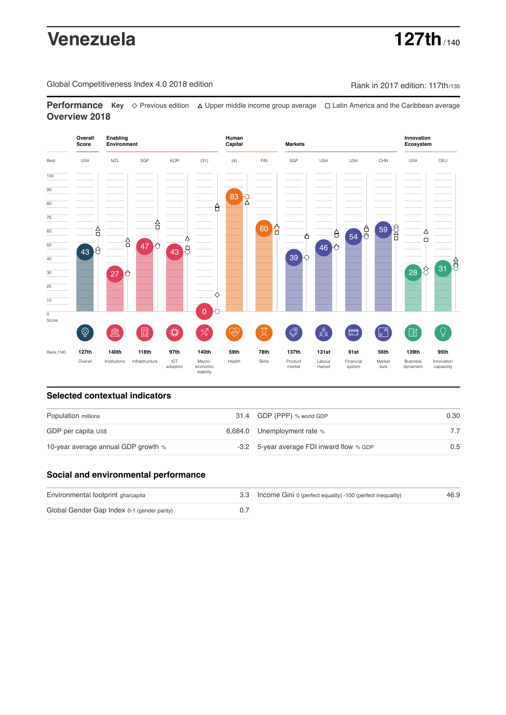# **Venezuela 127th** / 140

Global Competitiveness Index 4.0 2018 edition Rank in 2017 edition: 117th/135

**Performance** Key ◇ Previous edition △ Upper middle income group average □ Latin America and the Caribbean average **Overview 2018**



# **Selected contextual indicators**

| Population millions                 | 31.4 GDP (PPP) % world GDP                | 0.30          |  |
|-------------------------------------|-------------------------------------------|---------------|--|
| GDP per capita US\$                 | 6,684.0 Unemployment rate %               |               |  |
| 10-year average annual GDP growth % | -3.2 5-year average FDI inward flow % GDP | $0.5^{\circ}$ |  |

# **Social and environmental performance**

| Environmental footprint gha/capita          | 3.3 Income Gini 0 (perfect equality) -100 (perfect inequality) | 46.9 |
|---------------------------------------------|----------------------------------------------------------------|------|
| Global Gender Gap Index 0-1 (gender parity) |                                                                |      |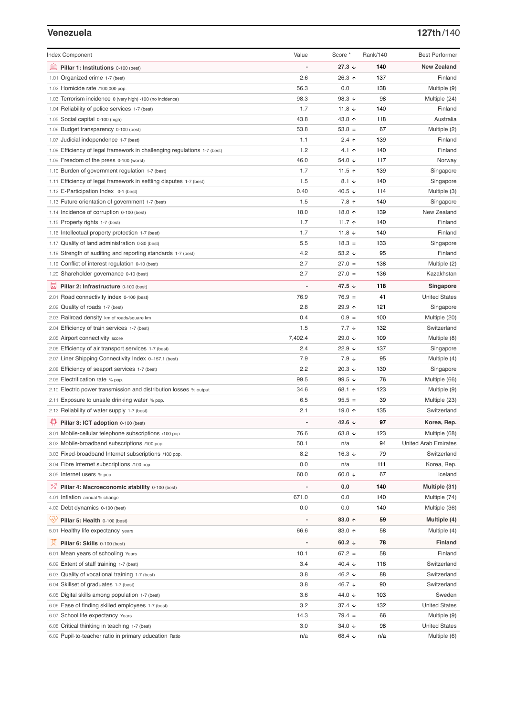### **Venezuela 127th**/140

| <b>Index Component</b>                                                   | Value          | Score *              | Rank/140 | <b>Best Performer</b>       |
|--------------------------------------------------------------------------|----------------|----------------------|----------|-----------------------------|
| 寙<br>Pillar 1: Institutions 0-100 (best)                                 |                | $27.3 +$             | 140      | <b>New Zealand</b>          |
| 1.01 Organized crime 1-7 (best)                                          | 2.6            | 26.3 ↑               | 137      | Finland                     |
| 1.02 Homicide rate /100,000 pop.                                         | 56.3           | 0.0                  | 138      | Multiple (9)                |
| 1.03 Terrorism incidence 0 (very high) -100 (no incidence)               | 98.3           | 98.3 $\sqrt{ }$      | 98       | Multiple (24)               |
| 1.04 Reliability of police services 1-7 (best)                           | 1.7            | 11.8 $\sqrt{ }$      | 140      | Finland                     |
| 1.05 Social capital 0-100 (high)                                         | 43.8           | 43.8 ↑               | 118      | Australia                   |
| 1.06 Budget transparency 0-100 (best)                                    | 53.8           | $53.8 =$             | 67       | Multiple (2)                |
| 1.07 Judicial independence 1-7 (best)                                    | 1.1            | $2.4$ ↑              | 139      | Finland                     |
| 1.08 Efficiency of legal framework in challenging regulations 1-7 (best) | 1.2            | 4.1 $\uparrow$       | 140      | Finland                     |
| 1.09 Freedom of the press 0-100 (worst)                                  | 46.0           | 54.0 ↓               | 117      | Norway                      |
| 1.10 Burden of government regulation 1-7 (best)                          | 1.7            | 11.5 $\uparrow$      | 139      | Singapore                   |
| 1.11 Efficiency of legal framework in settling disputes 1-7 (best)       | 1.5            | $8.1 \downarrow$     | 140      | Singapore                   |
| 1.12 E-Participation Index 0-1 (best)                                    | 0.40           | 40.5 $\sqrt{ }$      | 114      | Multiple (3)                |
| 1.13 Future orientation of government 1-7 (best)                         | 1.5            | 7.8 ↑                | 140      | Singapore                   |
| 1.14 Incidence of corruption 0-100 (best)                                | 18.0           | 18.0 个               | 139      | New Zealand                 |
| 1.15 Property rights 1-7 (best)                                          | 1.7            | 11.7 $\uparrow$      | 140      | Finland                     |
| 1.16 Intellectual property protection 1-7 (best)                         | 1.7            | 11.8 $\sqrt{ }$      | 140      | Finland                     |
| 1.17 Quality of land administration 0-30 (best)                          | 5.5            | $18.3 =$             | 133      | Singapore                   |
| 1.18 Strength of auditing and reporting standards 1-7 (best)             | 4.2            | 53.2 $\sqrt{ }$      | 95       | Finland                     |
| 1.19 Conflict of interest regulation 0-10 (best)                         | 2.7            | $27.0 =$             | 138      | Multiple (2)                |
| 1.20 Shareholder governance 0-10 (best)                                  | 2.7            | $27.0 =$             | 136      | Kazakhstan                  |
|                                                                          |                |                      |          |                             |
| 員<br>Pillar 2: Infrastructure 0-100 (best)                               |                | 47.5 ↓               | 118      | Singapore                   |
| 2.01 Road connectivity index 0-100 (best)                                | 76.9           | $76.9 =$             | 41       | <b>United States</b>        |
| 2.02 Quality of roads 1-7 (best)                                         | 2.8            | 29.9 ↑               | 121      | Singapore                   |
| 2.03 Railroad density km of roads/square km                              | 0.4            | $0.9 =$              | 100      | Multiple (20)               |
| 2.04 Efficiency of train services 1-7 (best)                             | 1.5            | $7.7*$               | 132      | Switzerland                 |
| 2.05 Airport connectivity score                                          | 7,402.4        | 29.0 ↓               | 109      | Multiple (8)                |
| 2.06 Efficiency of air transport services 1-7 (best)                     | 2.4            | 22.9 $\sqrt{ }$      | 137      | Singapore                   |
| 2.07 Liner Shipping Connectivity Index 0-157.1 (best)                    | 7.9            | $7.9 \downarrow$     | 95       | Multiple (4)                |
| 2.08 Efficiency of seaport services 1-7 (best)                           | 2.2            | $20.3 +$             | 130      | Singapore                   |
| 2.09 Electrification rate % pop.                                         | 99.5           | 99.5 $\sqrt{ }$      | 76       | Multiple (66)               |
| 2.10 Electric power transmission and distribution losses % output        | 34.6           | 68.1 $\uparrow$      | 123      | Multiple (9)                |
| 2.11 Exposure to unsafe drinking water % pop.                            | 6.5            | $95.5 =$             | 39       | Multiple (23)               |
| 2.12 Reliability of water supply 1-7 (best)                              | 2.1            | 19.0 ↑               | 135      | Switzerland                 |
| ₩<br>Pillar 3: ICT adoption 0-100 (best)                                 |                | 42.6 $\sqrt{ }$      | 97       | Korea, Rep.                 |
| 3.01 Mobile-cellular telephone subscriptions /100 pop.                   | 76.6           | 63.8 $\sqrt{ }$      | 123      | Multiple (68)               |
| 3.02 Mobile-broadband subscriptions /100 pop.                            | 50.1           | n/a                  | 94       | <b>United Arab Emirates</b> |
| 3.03 Fixed-broadband Internet subscriptions /100 pop.                    | 8.2            | 16.3 $\sqrt{ }$      | 79       | Switzerland                 |
| 3.04 Fibre Internet subscriptions /100 pop.                              | 0.0            | n/a                  | 111      | Korea, Rep.                 |
| 3.05 Internet users % pop.                                               | 60.0           | 60.0 $\sqrt{ }$      | 67       | Iceland                     |
| ℅<br>Pillar 4: Macroeconomic stability 0-100 (best)                      | $\overline{a}$ | 0.0                  | 140      | Multiple (31)               |
| 4.01 Inflation annual % change                                           | 671.0          | 0.0                  | 140      | Multiple (74)               |
| 4.02 Debt dynamics 0-100 (best)                                          | 0.0            | 0.0                  | 140      | Multiple (36)               |
| Ųy                                                                       |                | 83.0 ↑               | 59       |                             |
| Pillar 5: Health 0-100 (best)                                            |                |                      |          | Multiple (4)                |
| 5.01 Healthy life expectancy years                                       | 66.6           | 83.0 个               | 58       | Multiple (4)                |
| Pillar 6: Skills 0-100 (best)                                            |                | 60.2 $\sqrt{ }$      | 78       | <b>Finland</b>              |
| 6.01 Mean years of schooling Years                                       | 10.1           | $67.2 =$             | 58       | Finland                     |
| 6.02 Extent of staff training 1-7 (best)                                 | 3.4            | 40.4 $\sqrt{ }$      | 116      | Switzerland                 |
| 6.03 Quality of vocational training 1-7 (best)                           | 3.8            | 46.2 ↓               | 88       | Switzerland                 |
| 6.04 Skillset of graduates 1-7 (best)                                    | 3.8            | 46.7 ↓               | 90       | Switzerland                 |
| 6.05 Digital skills among population 1-7 (best)                          | 3.6            | 44.0 ↓               | 103      | Sweden                      |
| 6.06 Ease of finding skilled employees 1-7 (best)                        | 3.2            | $37.4 \; \downarrow$ | 132      | <b>United States</b>        |
| 6.07 School life expectancy Years                                        | 14.3           | $79.4 =$             | 66       | Multiple (9)                |
| 6.08 Critical thinking in teaching 1-7 (best)                            | 3.0            | 34.0 $\sqrt{ }$      | 98       | <b>United States</b>        |
| 6.09 Pupil-to-teacher ratio in primary education Ratio                   | n/a            | 68.4 ↓               | n/a      | Multiple (6)                |